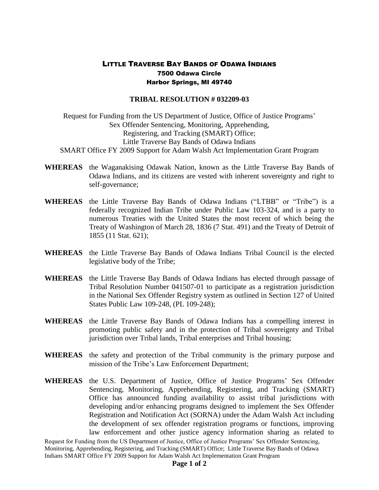## LITTLE TRAVERSE BAY BANDS OF ODAWA INDIANS 7500 Odawa Circle Harbor Springs, MI 49740

## **TRIBAL RESOLUTION # 032209-03**

Request for Funding from the US Department of Justice, Office of Justice Programs' Sex Offender Sentencing, Monitoring, Apprehending, Registering, and Tracking (SMART) Office; Little Traverse Bay Bands of Odawa Indians SMART Office FY 2009 Support for Adam Walsh Act Implementation Grant Program

- **WHEREAS** the Waganakising Odawak Nation, known as the Little Traverse Bay Bands of Odawa Indians, and its citizens are vested with inherent sovereignty and right to self-governance;
- **WHEREAS** the Little Traverse Bay Bands of Odawa Indians ("LTBB" or "Tribe") is a federally recognized Indian Tribe under Public Law 103-324, and is a party to numerous Treaties with the United States the most recent of which being the Treaty of Washington of March 28, 1836 (7 Stat. 491) and the Treaty of Detroit of 1855 (11 Stat. 621);
- **WHEREAS** the Little Traverse Bay Bands of Odawa Indians Tribal Council is the elected legislative body of the Tribe;
- **WHEREAS** the Little Traverse Bay Bands of Odawa Indians has elected through passage of Tribal Resolution Number 041507-01 to participate as a registration jurisdiction in the National Sex Offender Registry system as outlined in Section 127 of United States Public Law 109-248, (PL 109-248);
- **WHEREAS** the Little Traverse Bay Bands of Odawa Indians has a compelling interest in promoting public safety and in the protection of Tribal sovereignty and Tribal jurisdiction over Tribal lands, Tribal enterprises and Tribal housing;
- **WHEREAS** the safety and protection of the Tribal community is the primary purpose and mission of the Tribe's Law Enforcement Department;
- **WHEREAS** the U.S. Department of Justice, Office of Justice Programs' Sex Offender Sentencing, Monitoring, Apprehending, Registering, and Tracking (SMART) Office has announced funding availability to assist tribal jurisdictions with developing and/or enhancing programs designed to implement the Sex Offender Registration and Notification Act (SORNA) under the Adam Walsh Act including the development of sex offender registration programs or functions, improving law enforcement and other justice agency information sharing as related to

Request for Funding from the US Department of Justice, Office of Justice Programs' Sex Offender Sentencing, Monitoring, Apprehending, Registering, and Tracking (SMART) Office; Little Traverse Bay Bands of Odawa Indians SMART Office FY 2009 Support for Adam Walsh Act Implementation Grant Program